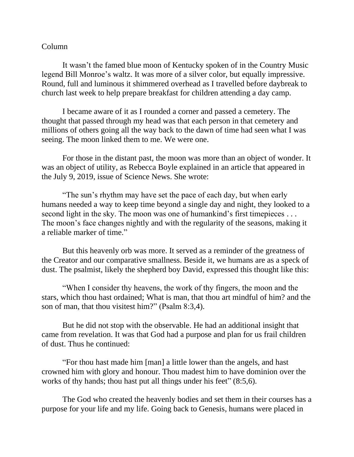## Column

It wasn't the famed blue moon of Kentucky spoken of in the Country Music legend Bill Monroe's waltz. It was more of a silver color, but equally impressive. Round, full and luminous it shimmered overhead as I travelled before daybreak to church last week to help prepare breakfast for children attending a day camp.

I became aware of it as I rounded a corner and passed a cemetery. The thought that passed through my head was that each person in that cemetery and millions of others going all the way back to the dawn of time had seen what I was seeing. The moon linked them to me. We were one.

For those in the distant past, the moon was more than an object of wonder. It was an object of utility, as Rebecca Boyle explained in an article that appeared in the July 9, 2019, issue of Science News. She wrote:

"The sun's rhythm may have set the pace of each day, but when early humans needed a way to keep time beyond a single day and night, they looked to a second light in the sky. The moon was one of humankind's first timepieces ... The moon's face changes nightly and with the regularity of the seasons, making it a reliable marker of time."

But this heavenly orb was more. It served as a reminder of the greatness of the Creator and our comparative smallness. Beside it, we humans are as a speck of dust. The psalmist, likely the shepherd boy David, expressed this thought like this:

"When I consider thy heavens, the work of thy fingers, the moon and the stars, which thou hast ordained; What is man, that thou art mindful of him? and the son of man, that thou visitest him?" (Psalm 8:3,4).

But he did not stop with the observable. He had an additional insight that came from revelation. It was that God had a purpose and plan for us frail children of dust. Thus he continued:

"For thou hast made him [man] a little lower than the angels, and hast crowned him with glory and honour. Thou madest him to have dominion over the works of thy hands; thou hast put all things under his feet" (8:5,6).

The God who created the heavenly bodies and set them in their courses has a purpose for your life and my life. Going back to Genesis, humans were placed in